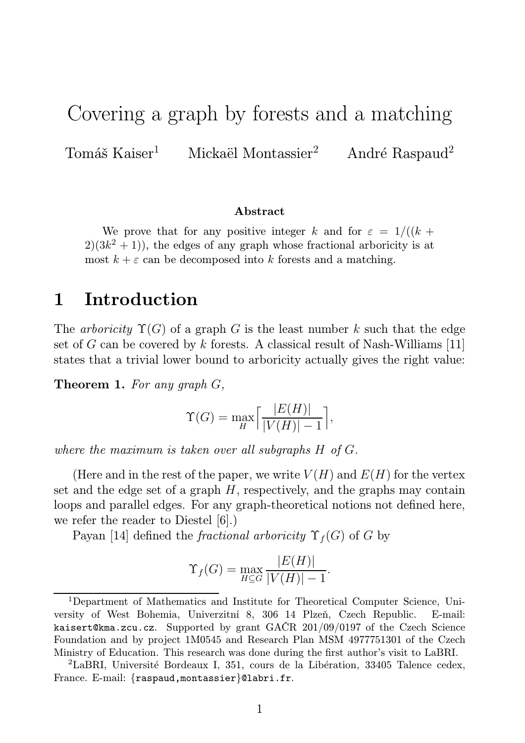# Covering a graph by forests and a matching

Tomáš Kaiser<sup>1</sup> Mickaël Montassier<sup>2</sup> André Raspaud<sup>2</sup>

#### Abstract

We prove that for any positive integer k and for  $\varepsilon = 1/((k +$  $2(3k^2+1)$ , the edges of any graph whose fractional arboricity is at most  $k + \varepsilon$  can be decomposed into k forests and a matching.

### 1 Introduction

The arboricity  $\Upsilon(G)$  of a graph G is the least number k such that the edge set of G can be covered by k forests. A classical result of Nash-Williams [11] states that a trivial lower bound to arboricity actually gives the right value:

**Theorem 1.** For any graph  $G$ ,

$$
\Upsilon(G) = \max_{H} \left[ \frac{|E(H)|}{|V(H)| - 1} \right],
$$

where the maximum is taken over all subgraphs H of G.

(Here and in the rest of the paper, we write  $V(H)$  and  $E(H)$  for the vertex set and the edge set of a graph  $H$ , respectively, and the graphs may contain loops and parallel edges. For any graph-theoretical notions not defined here, we refer the reader to Diestel [6].)

Payan [14] defined the *fractional arboricity*  $\Upsilon_f(G)$  of G by

$$
\Upsilon_f(G) = \max_{H \subseteq G} \frac{|E(H)|}{|V(H)| - 1}.
$$

<sup>1</sup>Department of Mathematics and Institute for Theoretical Computer Science, University of West Bohemia, Univerzitní 8, 306 14 Plzeň, Czech Republic. E-mail: kaisert@kma.zcu.cz. Supported by grant GAČR 201/09/0197 of the Czech Science Foundation and by project 1M0545 and Research Plan MSM 4977751301 of the Czech Ministry of Education. This research was done during the first author's visit to LaBRI.

<sup>2</sup>LaBRI, Université Bordeaux I, 351, cours de la Libération, 33405 Talence cedex, France. E-mail: {raspaud,montassier}@labri.fr.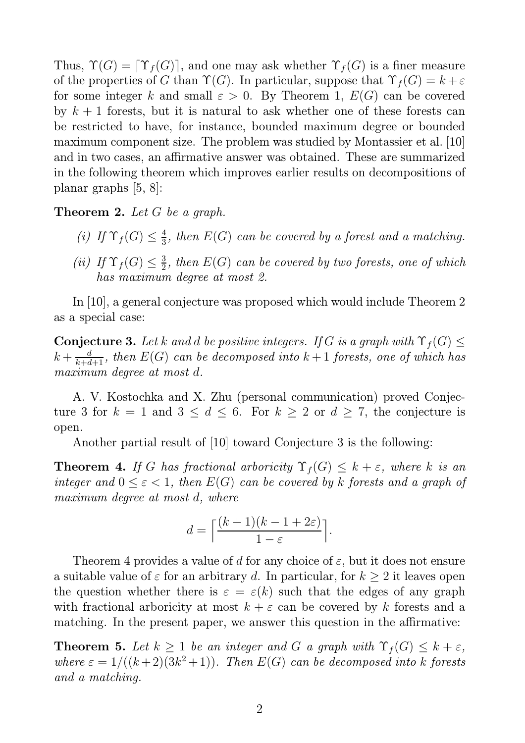Thus,  $\Upsilon(G) = \Upsilon_f(G)$ , and one may ask whether  $\Upsilon_f(G)$  is a finer measure of the properties of G than  $\Upsilon(G)$ . In particular, suppose that  $\Upsilon_f(G) = k + \varepsilon$ for some integer k and small  $\varepsilon > 0$ . By Theorem 1,  $E(G)$  can be covered by  $k + 1$  forests, but it is natural to ask whether one of these forests can be restricted to have, for instance, bounded maximum degree or bounded maximum component size. The problem was studied by Montassier et al. [10] and in two cases, an affirmative answer was obtained. These are summarized in the following theorem which improves earlier results on decompositions of planar graphs [5, 8]:

**Theorem 2.** Let G be a graph.

- (i) If  $\Upsilon_f(G) \leq \frac{4}{3}$  $\frac{4}{3}$ , then  $E(G)$  can be covered by a forest and a matching.
- (ii) If  $\Upsilon_f(G) \leq \frac{3}{2}$  $\frac{3}{2}$ , then  $E(G)$  can be covered by two forests, one of which has maximum degree at most 2.

In [10], a general conjecture was proposed which would include Theorem 2 as a special case:

**Conjecture 3.** Let k and d be positive integers. If G is a graph with  $\Upsilon_f(G) \leq$  $k+\frac{d}{k+d+1},$  then  $E(G)$  can be decomposed into  $k+1$  forests, one of which has maximum degree at most d.

A. V. Kostochka and X. Zhu (personal communication) proved Conjecture 3 for  $k = 1$  and  $3 \leq d \leq 6$ . For  $k \geq 2$  or  $d \geq 7$ , the conjecture is open.

Another partial result of [10] toward Conjecture 3 is the following:

**Theorem 4.** If G has fractional arboricity  $\Upsilon_f(G) \leq k + \varepsilon$ , where k is an integer and  $0 \leq \varepsilon < 1$ , then  $E(G)$  can be covered by k forests and a graph of maximum degree at most d, where

$$
d = \left\lceil \frac{(k+1)(k-1+2\varepsilon)}{1-\varepsilon} \right\rceil.
$$

Theorem 4 provides a value of d for any choice of  $\varepsilon$ , but it does not ensure a suitable value of  $\varepsilon$  for an arbitrary d. In particular, for  $k \geq 2$  it leaves open the question whether there is  $\varepsilon = \varepsilon(k)$  such that the edges of any graph with fractional arboricity at most  $k + \varepsilon$  can be covered by k forests and a matching. In the present paper, we answer this question in the affirmative:

**Theorem 5.** Let  $k \geq 1$  be an integer and G a graph with  $\Upsilon_f(G) \leq k + \varepsilon$ , where  $\varepsilon = 1/((k+2)(3k^2+1))$ . Then  $E(G)$  can be decomposed into k forests and a matching.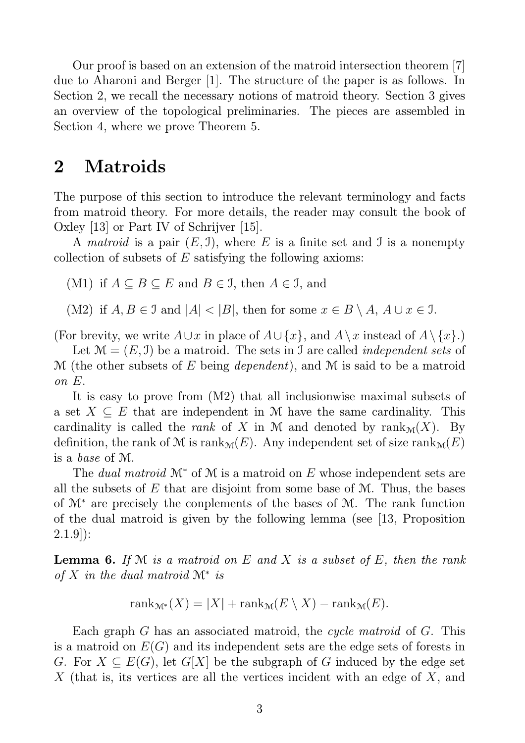Our proof is based on an extension of the matroid intersection theorem [7] due to Aharoni and Berger [1]. The structure of the paper is as follows. In Section 2, we recall the necessary notions of matroid theory. Section 3 gives an overview of the topological preliminaries. The pieces are assembled in Section 4, where we prove Theorem 5.

# 2 Matroids

The purpose of this section to introduce the relevant terminology and facts from matroid theory. For more details, the reader may consult the book of Oxley [13] or Part IV of Schrijver [15].

A matroid is a pair  $(E, \mathcal{I})$ , where E is a finite set and  $\mathcal{I}$  is a nonempty collection of subsets of  $E$  satisfying the following axioms:

(M1) if  $A \subseteq B \subseteq E$  and  $B \in \mathcal{I}$ , then  $A \in \mathcal{I}$ , and

(M2) if  $A, B \in \mathcal{I}$  and  $|A| < |B|$ , then for some  $x \in B \setminus A$ ,  $A \cup x \in \mathcal{I}$ .

(For brevity, we write  $A\cup x$  in place of  $A\cup \{x\}$ , and  $A\setminus x$  instead of  $A\setminus \{x\}$ .)

Let  $\mathcal{M} = (E, \mathcal{I})$  be a matroid. The sets in  $\mathcal{I}$  are called *independent sets* of  $\mathcal M$  (the other subsets of E being *dependent*), and  $\mathcal M$  is said to be a matroid on E.

It is easy to prove from (M2) that all inclusionwise maximal subsets of a set  $X \subseteq E$  that are independent in M have the same cardinality. This cardinality is called the *rank* of X in M and denoted by  $\text{rank}_{\mathcal{M}}(X)$ . By definition, the rank of M is rank<sub>M</sub> $(E)$ . Any independent set of size rank<sub>M</sub> $(E)$ is a base of M.

The *dual matroid*  $\mathcal{M}^*$  of  $\mathcal M$  is a matroid on E whose independent sets are all the subsets of  $E$  that are disjoint from some base of  $M$ . Thus, the bases of M<sup>∗</sup> are precisely the conplements of the bases of M. The rank function of the dual matroid is given by the following lemma (see [13, Proposition  $2.1.9$ :

**Lemma 6.** If  $M$  is a matroid on  $E$  and  $X$  is a subset of  $E$ , then the rank of  $X$  in the dual matroid  $\mathcal{M}^*$  is

$$
rank_{\mathcal{M}^*}(X) = |X| + rank_{\mathcal{M}}(E \setminus X) - rank_{\mathcal{M}}(E).
$$

Each graph G has an associated matroid, the cycle matroid of G. This is a matroid on  $E(G)$  and its independent sets are the edge sets of forests in G. For  $X \subseteq E(G)$ , let  $G[X]$  be the subgraph of G induced by the edge set X (that is, its vertices are all the vertices incident with an edge of X, and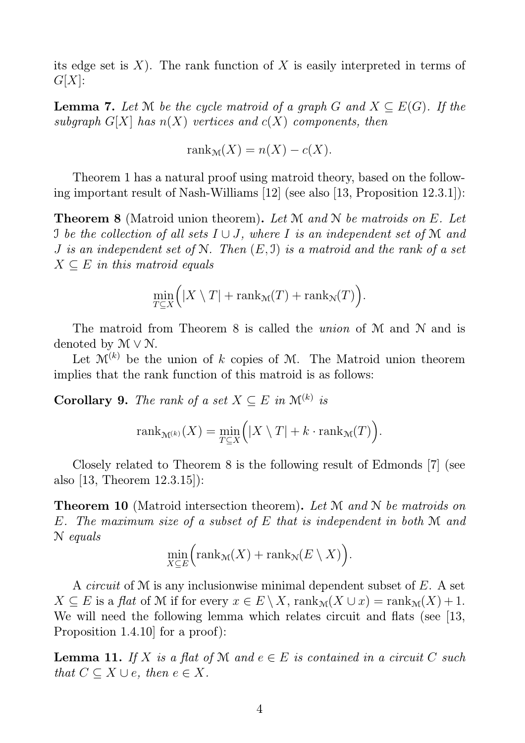its edge set is  $X$ ). The rank function of X is easily interpreted in terms of  $G[X]$ :

**Lemma 7.** Let M be the cycle matroid of a graph G and  $X \subseteq E(G)$ . If the subgraph  $G[X]$  has  $n(X)$  vertices and  $c(X)$  components, then

$$
rank_{\mathcal{M}}(X) = n(X) - c(X).
$$

Theorem 1 has a natural proof using matroid theory, based on the following important result of Nash-Williams [12] (see also [13, Proposition 12.3.1]):

**Theorem 8** (Matroid union theorem). Let M and N be matroids on E. Let I be the collection of all sets  $I \cup J$ , where I is an independent set of M and J is an independent set of N. Then  $(E, \mathcal{I})$  is a matroid and the rank of a set  $X \subseteq E$  in this matroid equals

$$
\min_{T \subseteq X} (|X \setminus T| + \text{rank}_{\mathcal{M}}(T) + \text{rank}_{\mathcal{N}}(T)).
$$

The matroid from Theorem 8 is called the *union* of M and N and is denoted by  $M \vee N$ .

Let  $\mathcal{M}^{(k)}$  be the union of k copies of M. The Matroid union theorem implies that the rank function of this matroid is as follows:

**Corollary 9.** The rank of a set  $X \subseteq E$  in  $\mathcal{M}^{(k)}$  is

$$
rank_{\mathcal{M}^{(k)}}(X) = \min_{T \subseteq X} (|X \setminus T| + k \cdot \text{rank}_{\mathcal{M}}(T)).
$$

Closely related to Theorem 8 is the following result of Edmonds [7] (see also [13, Theorem 12.3.15]):

**Theorem 10** (Matroid intersection theorem). Let M and N be matroids on E. The maximum size of a subset of E that is independent in both M and N equals

$$
\min_{X \subseteq E} \Big( \text{rank}_{\mathcal{M}}(X) + \text{rank}_{\mathcal{N}}(E \setminus X) \Big).
$$

A circuit of M is any inclusionwise minimal dependent subset of E. A set  $X \subseteq E$  is a flat of M if for every  $x \in E \setminus X$ ,  $\operatorname{rank}_{\mathcal{M}}(X \cup x) = \operatorname{rank}_{\mathcal{M}}(X) + 1$ . We will need the following lemma which relates circuit and flats (see [13, Proposition 1.4.10] for a proof):

**Lemma 11.** If X is a flat of M and  $e \in E$  is contained in a circuit C such that  $C \subseteq X \cup e$ , then  $e \in X$ .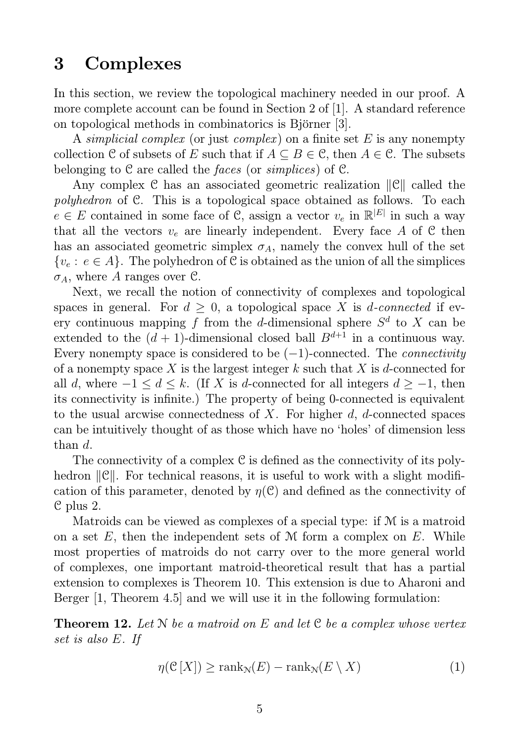## 3 Complexes

In this section, we review the topological machinery needed in our proof. A more complete account can be found in Section 2 of [1]. A standard reference on topological methods in combinatorics is Björner [3].

A simplicial complex (or just complex) on a finite set  $E$  is any nonempty collection C of subsets of E such that if  $A \subseteq B \in \mathcal{C}$ , then  $A \in \mathcal{C}$ . The subsets belonging to  $\mathcal C$  are called the *faces* (or *simplices*) of  $\mathcal C$ .

Any complex  $\mathcal C$  has an associated geometric realization  $\|\mathcal C\|$  called the polyhedron of C. This is a topological space obtained as follows. To each  $e \in E$  contained in some face of C, assign a vector  $v_e$  in  $\mathbb{R}^{|E|}$  in such a way that all the vectors  $v_e$  are linearly independent. Every face A of C then has an associated geometric simplex  $\sigma_A$ , namely the convex hull of the set  ${v<sub>e</sub> : e \in A}$ . The polyhedron of C is obtained as the union of all the simplices  $\sigma_A$ , where A ranges over C.

Next, we recall the notion of connectivity of complexes and topological spaces in general. For  $d \geq 0$ , a topological space X is *d*-connected if every continuous mapping f from the d-dimensional sphere  $S^d$  to X can be extended to the  $(d + 1)$ -dimensional closed ball  $B^{d+1}$  in a continuous way. Every nonempty space is considered to be  $(-1)$ -connected. The *connectivity* of a nonempty space X is the largest integer k such that X is d-connected for all d, where  $-1 \leq d \leq k$ . (If X is d-connected for all integers  $d \geq -1$ , then its connectivity is infinite.) The property of being 0-connected is equivalent to the usual arcwise connectedness of  $X$ . For higher  $d$ ,  $d$ -connected spaces can be intuitively thought of as those which have no 'holes' of dimension less than  $d$ .

The connectivity of a complex C is defined as the connectivity of its polyhedron  $\|\mathcal{C}\|$ . For technical reasons, it is useful to work with a slight modification of this parameter, denoted by  $\eta(\mathcal{C})$  and defined as the connectivity of C plus 2.

Matroids can be viewed as complexes of a special type: if M is a matroid on a set  $E$ , then the independent sets of M form a complex on  $E$ . While most properties of matroids do not carry over to the more general world of complexes, one important matroid-theoretical result that has a partial extension to complexes is Theorem 10. This extension is due to Aharoni and Berger  $\vert 1$ , Theorem 4.5 and we will use it in the following formulation:

**Theorem 12.** Let N be a matroid on E and let C be a complex whose vertex set is also E. If

$$
\eta(\mathcal{C}[X]) \ge \text{rank}_{\mathcal{N}}(E) - \text{rank}_{\mathcal{N}}(E \setminus X) \tag{1}
$$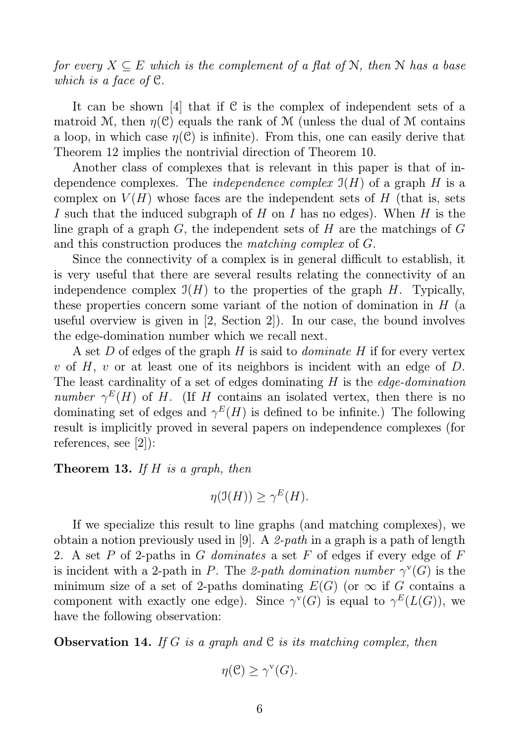for every  $X \subseteq E$  which is the complement of a flat of N, then N has a base which is a face of C.

It can be shown [4] that if  $C$  is the complex of independent sets of a matroid M, then  $\eta(\mathcal{C})$  equals the rank of M (unless the dual of M contains a loop, in which case  $\eta(\mathcal{C})$  is infinite). From this, one can easily derive that Theorem 12 implies the nontrivial direction of Theorem 10.

Another class of complexes that is relevant in this paper is that of independence complexes. The *independence complex*  $\mathfrak{I}(H)$  of a graph H is a complex on  $V(H)$  whose faces are the independent sets of H (that is, sets I such that the induced subgraph of H on I has no edges). When H is the line graph of a graph  $G$ , the independent sets of  $H$  are the matchings of  $G$ and this construction produces the matching complex of G.

Since the connectivity of a complex is in general difficult to establish, it is very useful that there are several results relating the connectivity of an independence complex  $\mathfrak{I}(H)$  to the properties of the graph H. Typically, these properties concern some variant of the notion of domination in  $H$  (a useful overview is given in [2, Section 2]). In our case, the bound involves the edge-domination number which we recall next.

A set D of edges of the graph H is said to *dominate* H if for every vertex v of H, v or at least one of its neighbors is incident with an edge of  $D$ . The least cardinality of a set of edges dominating  $H$  is the *edge-domination* number  $\gamma^{E}(H)$  of H. (If H contains an isolated vertex, then there is no dominating set of edges and  $\gamma^{E}(H)$  is defined to be infinite.) The following result is implicitly proved in several papers on independence complexes (for references, see [2]):

**Theorem 13.** If  $H$  is a graph, then

$$
\eta(\mathfrak{I}(H)) \ge \gamma^E(H).
$$

If we specialize this result to line graphs (and matching complexes), we obtain a notion previously used in [9]. A 2-path in a graph is a path of length 2. A set P of 2-paths in G dominates a set F of edges if every edge of F is incident with a 2-path in P. The 2-path domination number  $\gamma^{\text{v}}(G)$  is the minimum size of a set of 2-paths dominating  $E(G)$  (or  $\infty$  if G contains a component with exactly one edge). Since  $\gamma^{\mathsf{v}}(G)$  is equal to  $\gamma^E(L(G))$ , we have the following observation:

**Observation 14.** If G is a graph and C is its matching complex, then

$$
\eta(\mathcal{C}) \ge \gamma^{\mathbf{v}}(G).
$$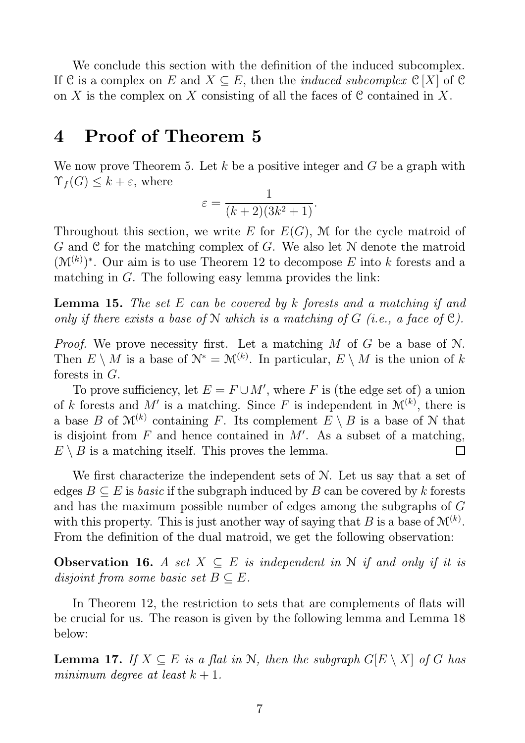We conclude this section with the definition of the induced subcomplex. If C is a complex on E and  $X \subseteq E$ , then the *induced subcomplex* C[X] of C on X is the complex on X consisting of all the faces of C contained in X.

# 4 Proof of Theorem 5

We now prove Theorem 5. Let  $k$  be a positive integer and  $G$  be a graph with  $\Upsilon_f(G) \leq k + \varepsilon$ , where

$$
\varepsilon = \frac{1}{(k+2)(3k^2+1)}.
$$

Throughout this section, we write E for  $E(G)$ , M for the cycle matroid of  $G$  and  $C$  for the matching complex of  $G$ . We also let  $N$  denote the matroid  $(\mathcal{M}^{(k)})^*$ . Our aim is to use Theorem 12 to decompose E into k forests and a matching in G. The following easy lemma provides the link:

**Lemma 15.** The set E can be covered by k forests and a matching if and only if there exists a base of N which is a matching of G (i.e., a face of  $\mathcal{C}$ ).

*Proof.* We prove necessity first. Let a matching  $M$  of  $G$  be a base of  $N$ . Then  $E \setminus M$  is a base of  $\mathcal{N}^* = \mathcal{M}^{(k)}$ . In particular,  $E \setminus M$  is the union of k forests in G.

To prove sufficiency, let  $E = F \cup M'$ , where F is (the edge set of) a union of k forests and M' is a matching. Since F is independent in  $\mathcal{M}^{(k)}$ , there is a base B of  $\mathcal{M}^{(k)}$  containing F. Its complement  $E \setminus B$  is a base of N that is disjoint from  $F$  and hence contained in  $M'$ . As a subset of a matching,  $E \setminus B$  is a matching itself. This proves the lemma. П

We first characterize the independent sets of N. Let us say that a set of edges  $B \subseteq E$  is *basic* if the subgraph induced by B can be covered by k forests and has the maximum possible number of edges among the subgraphs of G with this property. This is just another way of saying that B is a base of  $\mathcal{M}^{(k)}$ . From the definition of the dual matroid, we get the following observation:

**Observation 16.** A set  $X \subseteq E$  is independent in N if and only if it is disjoint from some basic set  $B \subseteq E$ .

In Theorem 12, the restriction to sets that are complements of flats will be crucial for us. The reason is given by the following lemma and Lemma 18 below:

**Lemma 17.** If  $X \subseteq E$  is a flat in N, then the subgraph  $G[E \setminus X]$  of G has minimum degree at least  $k + 1$ .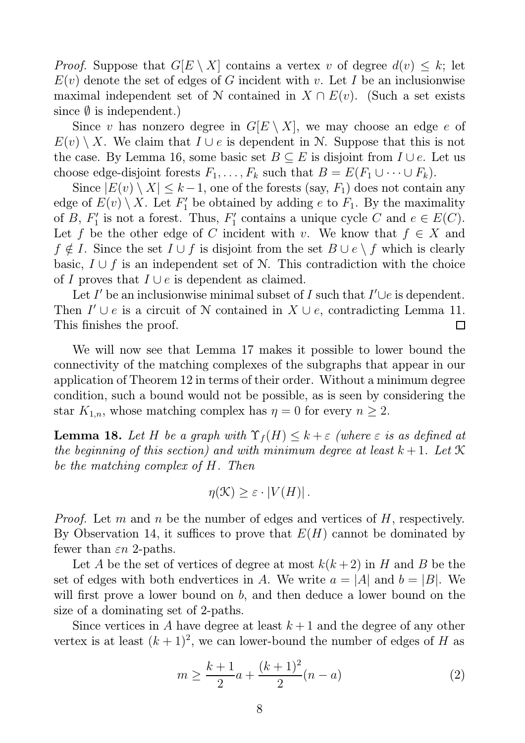*Proof.* Suppose that  $G[E \setminus X]$  contains a vertex v of degree  $d(v) \leq k$ ; let  $E(v)$  denote the set of edges of G incident with v. Let I be an inclusionwise maximal independent set of N contained in  $X \cap E(v)$ . (Such a set exists since  $\emptyset$  is independent.)

Since v has nonzero degree in  $G[E \setminus X]$ , we may choose an edge e of  $E(v) \setminus X$ . We claim that  $I \cup e$  is dependent in N. Suppose that this is not the case. By Lemma 16, some basic set  $B \subseteq E$  is disjoint from  $I \cup e$ . Let us choose edge-disjoint forests  $F_1, \ldots, F_k$  such that  $B = E(F_1 \cup \cdots \cup F_k)$ .

Since  $|E(v) \setminus X| \leq k-1$ , one of the forests (say,  $F_1$ ) does not contain any edge of  $E(v) \setminus X$ . Let  $F'_1$  be obtained by adding e to  $F_1$ . By the maximality of  $B, F'_1$  $I'_1$  is not a forest. Thus,  $F'_1$  $C'$  contains a unique cycle C and  $e \in E(C)$ . Let f be the other edge of C incident with v. We know that  $f \in X$  and  $f \notin I$ . Since the set  $I \cup f$  is disjoint from the set  $B \cup e \setminus f$  which is clearly basic,  $I \cup f$  is an independent set of N. This contradiction with the choice of I proves that  $I \cup e$  is dependent as claimed.

Let I' be an inclusionwise minimal subset of I such that  $I' \cup e$  is dependent. Then  $I' \cup e$  is a circuit of N contained in  $X \cup e$ , contradicting Lemma 11. This finishes the proof.  $\Box$ 

We will now see that Lemma 17 makes it possible to lower bound the connectivity of the matching complexes of the subgraphs that appear in our application of Theorem 12 in terms of their order. Without a minimum degree condition, such a bound would not be possible, as is seen by considering the star  $K_{1,n}$ , whose matching complex has  $\eta = 0$  for every  $n \geq 2$ .

**Lemma 18.** Let H be a graph with  $\Upsilon_f(H) \leq k + \varepsilon$  (where  $\varepsilon$  is as defined at the beginning of this section) and with minimum degree at least  $k+1$ . Let  $\mathcal K$ be the matching complex of H. Then

$$
\eta(\mathcal{K}) \geq \varepsilon \cdot |V(H)|.
$$

*Proof.* Let m and n be the number of edges and vertices of H, respectively. By Observation 14, it suffices to prove that  $E(H)$  cannot be dominated by fewer than  $\varepsilon n$  2-paths.

Let A be the set of vertices of degree at most  $k(k+2)$  in H and B be the set of edges with both endvertices in A. We write  $a = |A|$  and  $b = |B|$ . We will first prove a lower bound on b, and then deduce a lower bound on the size of a dominating set of 2-paths.

Since vertices in A have degree at least  $k+1$  and the degree of any other vertex is at least  $(k+1)^2$ , we can lower-bound the number of edges of H as

$$
m \ge \frac{k+1}{2}a + \frac{(k+1)^2}{2}(n-a)
$$
 (2)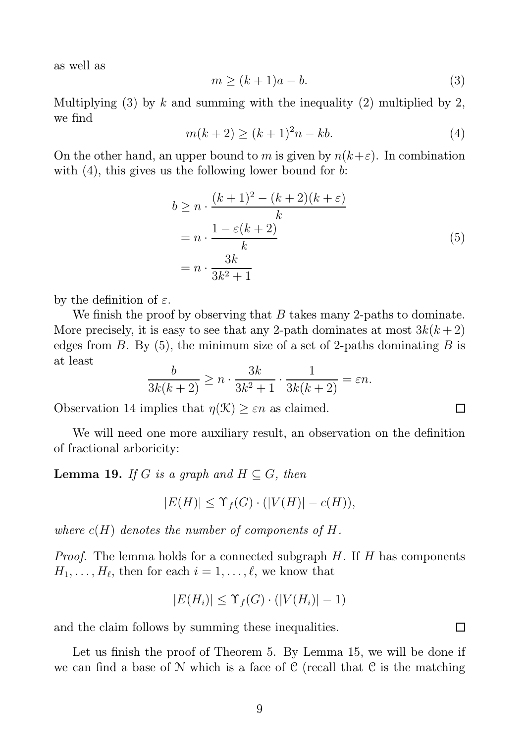as well as

$$
m \ge (k+1)a - b.\tag{3}
$$

Multiplying (3) by k and summing with the inequality (2) multiplied by 2, we find

$$
m(k+2) \ge (k+1)^2 n - kb.
$$
 (4)

On the other hand, an upper bound to m is given by  $n(k+\varepsilon)$ . In combination with  $(4)$ , this gives us the following lower bound for b:

$$
b \ge n \cdot \frac{(k+1)^2 - (k+2)(k+\varepsilon)}{k}
$$
  
=  $n \cdot \frac{1 - \varepsilon(k+2)}{k}$   
=  $n \cdot \frac{3k}{3k^2 + 1}$  (5)

by the definition of  $\varepsilon$ .

We finish the proof by observing that  $B$  takes many 2-paths to dominate. More precisely, it is easy to see that any 2-path dominates at most  $3k(k+2)$ edges from B. By  $(5)$ , the minimum size of a set of 2-paths dominating B is at least

$$
\frac{b}{3k(k+2)} \ge n \cdot \frac{3k}{3k^2 + 1} \cdot \frac{1}{3k(k+2)} = \varepsilon n.
$$

Observation 14 implies that  $\eta(\mathcal{K}) \geq \varepsilon n$  as claimed.

We will need one more auxiliary result, an observation on the definition of fractional arboricity:

**Lemma 19.** If G is a graph and  $H \subseteq G$ , then

$$
|E(H)| \leq \Upsilon_f(G) \cdot (|V(H)| - c(H)),
$$

where  $c(H)$  denotes the number of components of H.

Proof. The lemma holds for a connected subgraph H. If H has components  $H_1, \ldots, H_\ell$ , then for each  $i = 1, \ldots, \ell$ , we know that

$$
|E(H_i)| \leq \Upsilon_f(G) \cdot (|V(H_i)| - 1)
$$

and the claim follows by summing these inequalities.

Let us finish the proof of Theorem 5. By Lemma 15, we will be done if we can find a base of  $N$  which is a face of  $C$  (recall that  $C$  is the matching

 $\Box$ 

П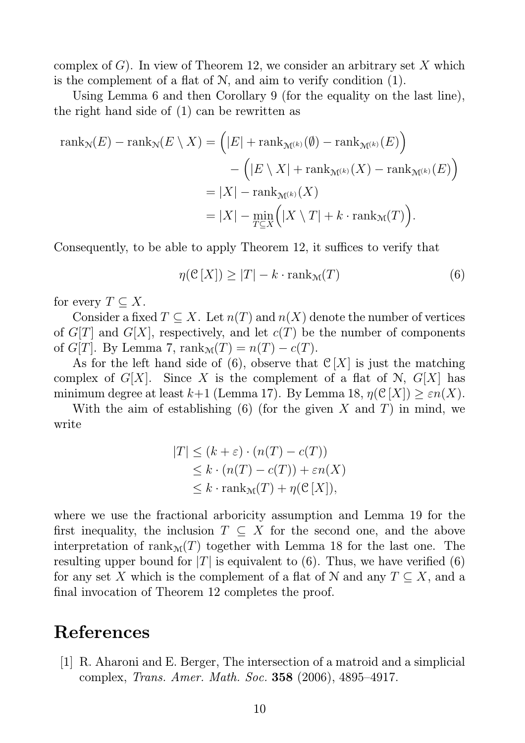complex of G). In view of Theorem 12, we consider an arbitrary set X which is the complement of a flat of  $N$ , and aim to verify condition  $(1)$ .

Using Lemma 6 and then Corollary 9 (for the equality on the last line), the right hand side of (1) can be rewritten as

$$
\operatorname{rank}_{\mathcal{N}}(E) - \operatorname{rank}_{\mathcal{N}}(E \setminus X) = \left( |E| + \operatorname{rank}_{\mathcal{M}^{(k)}}(\emptyset) - \operatorname{rank}_{\mathcal{M}^{(k)}}(E) \right)
$$

$$
- \left( |E \setminus X| + \operatorname{rank}_{\mathcal{M}^{(k)}}(X) - \operatorname{rank}_{\mathcal{M}^{(k)}}(E) \right)
$$

$$
= |X| - \operatorname{rank}_{\mathcal{M}^{(k)}}(X)
$$

$$
= |X| - \min_{T \subseteq X} \left( |X \setminus T| + k \cdot \operatorname{rank}_{\mathcal{M}}(T) \right).
$$

Consequently, to be able to apply Theorem 12, it suffices to verify that

$$
\eta(\mathcal{C}[X]) \ge |T| - k \cdot \text{rank}_{\mathcal{M}}(T) \tag{6}
$$

for every  $T \subseteq X$ .

Consider a fixed  $T \subseteq X$ . Let  $n(T)$  and  $n(X)$  denote the number of vertices of  $G[T]$  and  $G[X]$ , respectively, and let  $c(T)$  be the number of components of  $G[T]$ . By Lemma 7, rank $\mathcal{M}(T) = n(T) - c(T)$ .

As for the left hand side of (6), observe that  $\mathcal{C}[X]$  is just the matching complex of  $G[X]$ . Since X is the complement of a flat of N,  $G[X]$  has minimum degree at least  $k+1$  (Lemma 17). By Lemma 18,  $\eta(\mathcal{C}[X]) \geq \varepsilon n(X)$ .

With the aim of establishing  $(6)$  (for the given X and T) in mind, we write

$$
|T| \le (k + \varepsilon) \cdot (n(T) - c(T))
$$
  
\n
$$
\le k \cdot (n(T) - c(T)) + \varepsilon n(X)
$$
  
\n
$$
\le k \cdot \text{rank}_{\mathcal{M}}(T) + \eta(\mathcal{C}[X]),
$$

where we use the fractional arboricity assumption and Lemma 19 for the first inequality, the inclusion  $T \subseteq X$  for the second one, and the above interpretation of rank $M(T)$  together with Lemma 18 for the last one. The resulting upper bound for  $|T|$  is equivalent to (6). Thus, we have verified (6) for any set X which is the complement of a flat of N and any  $T \subseteq X$ , and a final invocation of Theorem 12 completes the proof.

### References

[1] R. Aharoni and E. Berger, The intersection of a matroid and a simplicial complex, Trans. Amer. Math. Soc. 358 (2006), 4895–4917.